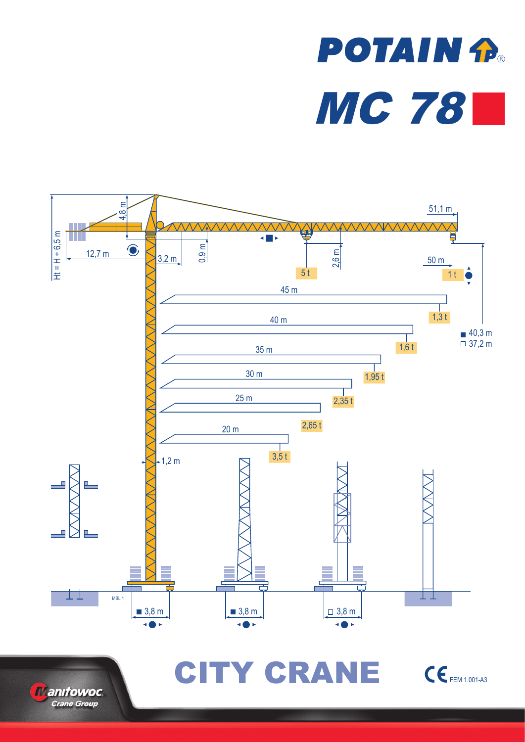# **POTAIN P.** MC 78





CITY CRANE CEFEM 1.001-A3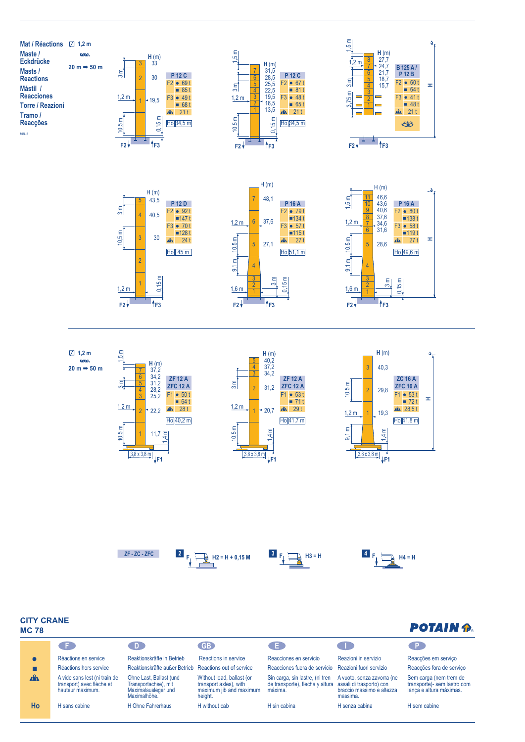



















## **CITY CRANE MC 78**

# **POTAIN P.**

| <b>CED</b>   |                                                                                | D.                                                                                     | GB <sup>)</sup>                                                                           | . E.                                                                                                   | <b>College</b>                                                      | ∴P.                                                                              |  |  |
|--------------|--------------------------------------------------------------------------------|----------------------------------------------------------------------------------------|-------------------------------------------------------------------------------------------|--------------------------------------------------------------------------------------------------------|---------------------------------------------------------------------|----------------------------------------------------------------------------------|--|--|
|              | Réactions en service                                                           | Reaktionskräfte in Betrieb                                                             | Reactions in service                                                                      | Reacciones en servicio                                                                                 | Reazioni in servizio                                                | Reacções em serviço                                                              |  |  |
|              | Réactions hors service                                                         | Reaktionskräfte außer Betrieb Reactions out of service                                 |                                                                                           | Reacciones fuera de servicio Reazioni fuori servizio                                                   |                                                                     | Reacções fora de serviço                                                         |  |  |
| $\mathbf{A}$ | A vide sans lest (ni train de<br>transport) avec flèche et<br>hauteur maximum. | Ohne Last, Ballast (und<br>Transportachse), mit<br>Maximalausleger und<br>Maximalhöhe. | Without load, ballast (or<br>transport axles), with<br>maximum jib and maximum<br>height. | Sin carga, sin lastre, (ni tren<br>de transporte), flecha y altura assali di trasporto) con<br>máxima. | A vuoto, senza zavorra (ne<br>braccio massimo e altezza<br>massima. | Sem carga (nem trem de<br>transporte)- sem lastro com<br>lança e altura máximas. |  |  |
| Ho           | H sans cabine                                                                  | H Ohne Fahrerhaus                                                                      | H without cab                                                                             | H sin cabina                                                                                           | H senza cabina                                                      | H sem cabine                                                                     |  |  |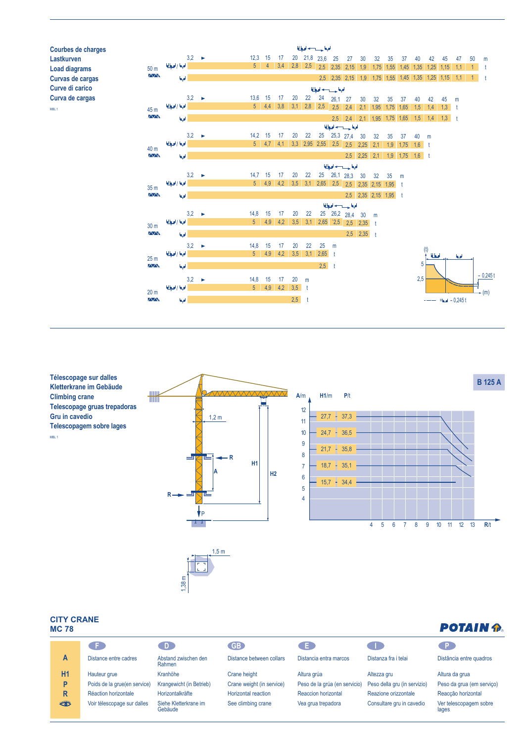

**Télescopage sur dalles Kletterkrane im Gebäude Climbing crane Telescopage gruas trepadoras Gru in cavedio Telescopagem sobre lages** MBL 1



### **CITY CRANE MC 78**

| <b>POTAIN P.</b> |
|------------------|
|------------------|

| 111 V I V |                              |                                  |                            |                               |                              | ---------                       |
|-----------|------------------------------|----------------------------------|----------------------------|-------------------------------|------------------------------|---------------------------------|
|           | . F .                        |                                  | GB                         |                               |                              | P.                              |
| A         | Distance entre cadres        | Abstand zwischen den<br>Rahmen   | Distance between collars   | Distancia entra marcos        | Distanza fra i telai         | Distância entre quadros         |
| H1        | Hauteur grue                 | Kranhöhe                         | Crane height               | Altura grúa                   | Altezza gru                  | Altura da grua                  |
| P         | Poids de la grue(en service) | Krangewicht (in Betrieb)         | Crane weight (in service)  | Peso de la grúa (en servicio) | Peso della gru (in servizio) | Peso da grua (em serviço)       |
| R         | Réaction horizontale         | Horizontalkräfte                 | <b>Horizontal reaction</b> | Reaccion horizontal           | Reazione orizzontale         | Reacção horizontal              |
| ₩         | Voir télescopage sur dalles  | Siehe Kletterkrane im<br>Gebäude | See climbing crane         | Vea grua trepadora            | Consultare gru in cavedio    | Ver telescopagem sobre<br>lages |

 $1,38 \text{ m}$ 

Maximalausleger und Maximalhöhe.